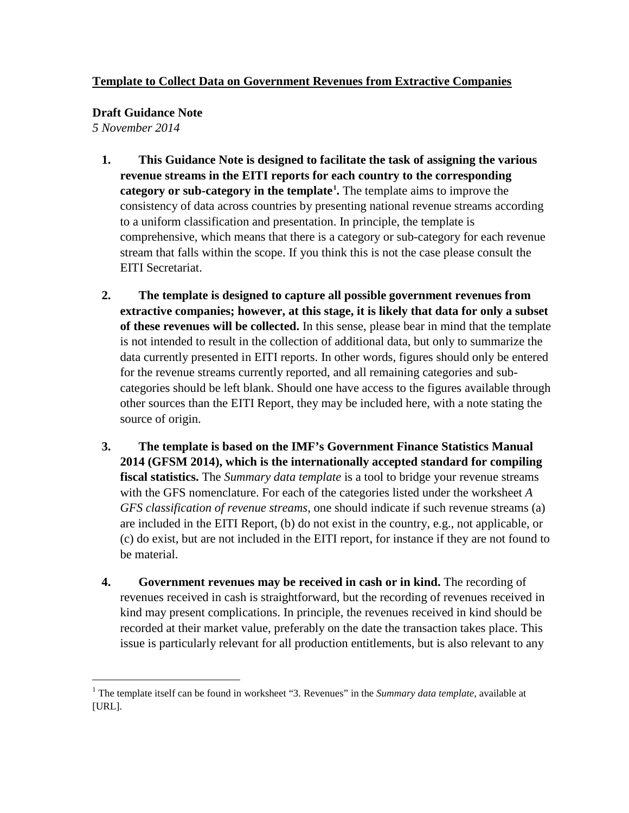## **Template to Collect Data on Government Revenues from Extractive Companies**

**Draft Guidance Note**

*5 November 2014*

 $\overline{a}$ 

- **1. This Guidance Note is designed to facilitate the task of assigning the various revenue streams in the EITI reports for each country to the corresponding category or sub-category in the template[1](#page-0-0) .** The template aims to improve the consistency of data across countries by presenting national revenue streams according to a uniform classification and presentation. In principle, the template is comprehensive, which means that there is a category or sub-category for each revenue stream that falls within the scope. If you think this is not the case please consult the EITI Secretariat.
- **2. The template is designed to capture all possible government revenues from extractive companies; however, at this stage, it is likely that data for only a subset of these revenues will be collected.** In this sense, please bear in mind that the template is not intended to result in the collection of additional data, but only to summarize the data currently presented in EITI reports. In other words, figures should only be entered for the revenue streams currently reported, and all remaining categories and subcategories should be left blank. Should one have access to the figures available through other sources than the EITI Report, they may be included here, with a note stating the source of origin.
- **3. The template is based on the IMF's Government Finance Statistics Manual 2014 (GFSM 2014), which is the internationally accepted standard for compiling fiscal statistics.** The *Summary data template* is a tool to bridge your revenue streams with the GFS nomenclature. For each of the categories listed under the worksheet *A GFS classification of revenue streams*, one should indicate if such revenue streams (a) are included in the EITI Report, (b) do not exist in the country, e.g., not applicable, or (c) do exist, but are not included in the EITI report, for instance if they are not found to be material.
- **4. Government revenues may be received in cash or in kind.** The recording of revenues received in cash is straightforward, but the recording of revenues received in kind may present complications. In principle, the revenues received in kind should be recorded at their market value, preferably on the date the transaction takes place. This issue is particularly relevant for all production entitlements, but is also relevant to any

<span id="page-0-0"></span><sup>&</sup>lt;sup>1</sup> The template itself can be found in worksheet "3. Revenues" in the *Summary data template*, available at [URL].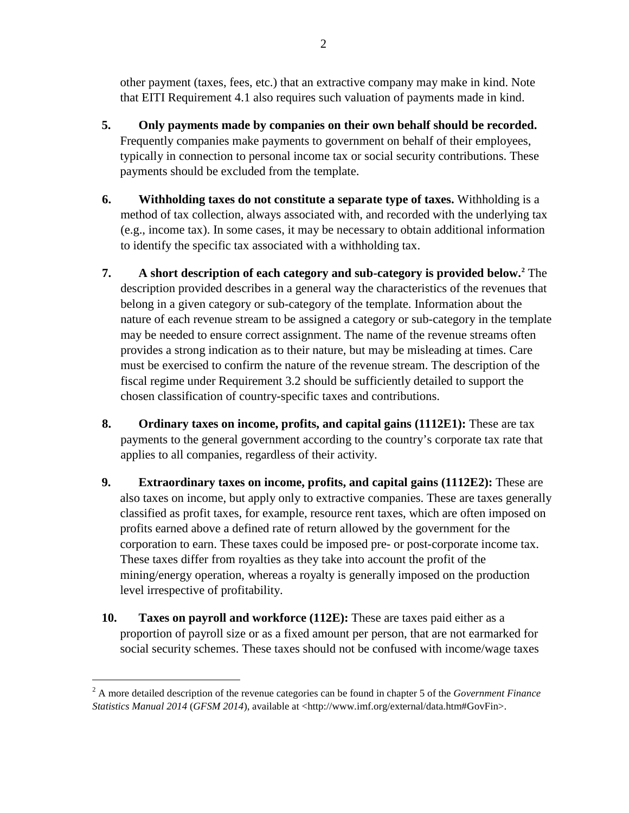other payment (taxes, fees, etc.) that an extractive company may make in kind. Note that EITI Requirement 4.1 also requires such valuation of payments made in kind.

- **5. Only payments made by companies on their own behalf should be recorded.**  Frequently companies make payments to government on behalf of their employees, typically in connection to personal income tax or social security contributions. These payments should be excluded from the template.
- **6. Withholding taxes do not constitute a separate type of taxes.** Withholding is a method of tax collection, always associated with, and recorded with the underlying tax (e.g., income tax). In some cases, it may be necessary to obtain additional information to identify the specific tax associated with a withholding tax.
- **7. A short description of each category and sub-category is provided below.[2](#page-1-0)** The description provided describes in a general way the characteristics of the revenues that belong in a given category or sub-category of the template. Information about the nature of each revenue stream to be assigned a category or sub-category in the template may be needed to ensure correct assignment. The name of the revenue streams often provides a strong indication as to their nature, but may be misleading at times. Care must be exercised to confirm the nature of the revenue stream. The description of the fiscal regime under Requirement 3.2 should be sufficiently detailed to support the chosen classification of country-specific taxes and contributions.
- **8. Ordinary taxes on income, profits, and capital gains (1112E1):** These are tax payments to the general government according to the country's corporate tax rate that applies to all companies, regardless of their activity.
- **9. Extraordinary taxes on income, profits, and capital gains (1112E2):** These are also taxes on income, but apply only to extractive companies. These are taxes generally classified as profit taxes, for example, resource rent taxes, which are often imposed on profits earned above a defined rate of return allowed by the government for the corporation to earn. These taxes could be imposed pre- or post-corporate income tax. These taxes differ from royalties as they take into account the profit of the mining/energy operation, whereas a royalty is generally imposed on the production level irrespective of profitability.
- **10. Taxes on payroll and workforce (112E):** These are taxes paid either as a proportion of payroll size or as a fixed amount per person, that are not earmarked for social security schemes. These taxes should not be confused with income/wage taxes

 $\overline{a}$ 

<span id="page-1-0"></span><sup>2</sup> A more detailed description of the revenue categories can be found in chapter 5 of the *Government Finance Statistics Manual 2014* (*GFSM 2014*), available at <http://www.imf.org/external/data.htm#GovFin>.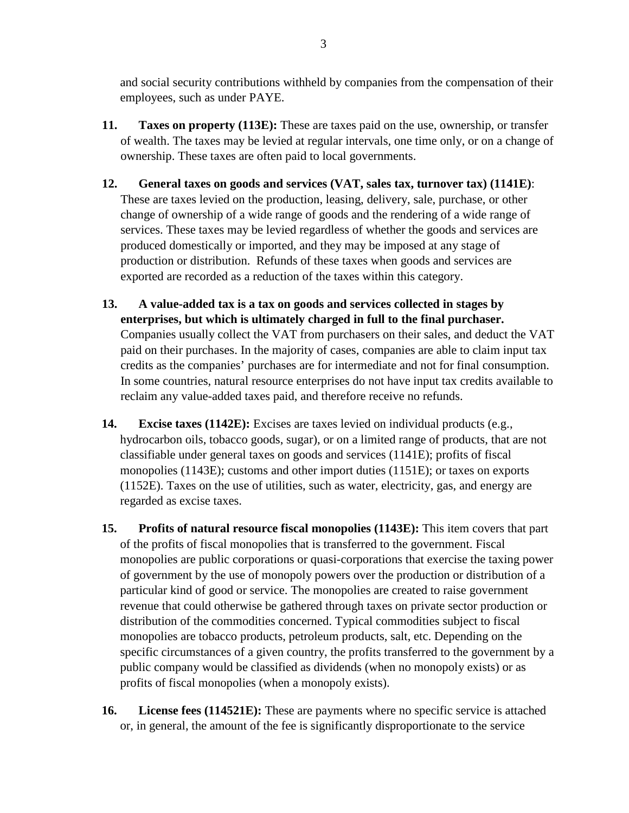and social security contributions withheld by companies from the compensation of their employees, such as under PAYE.

- **11. Taxes on property (113E):** These are taxes paid on the use, ownership, or transfer of wealth. The taxes may be levied at regular intervals, one time only, or on a change of ownership. These taxes are often paid to local governments.
- **12. General taxes on goods and services (VAT, sales tax, turnover tax) (1141E)**: These are taxes levied on the production, leasing, delivery, sale, purchase, or other change of ownership of a wide range of goods and the rendering of a wide range of services. These taxes may be levied regardless of whether the goods and services are produced domestically or imported, and they may be imposed at any stage of production or distribution.Refunds of these taxes when goods and services are exported are recorded as a reduction of the taxes within this category.
- **13. A value-added tax is a tax on goods and services collected in stages by enterprises, but which is ultimately charged in full to the final purchaser.**  Companies usually collect the VAT from purchasers on their sales, and deduct the VAT paid on their purchases. In the majority of cases, companies are able to claim input tax credits as the companies' purchases are for intermediate and not for final consumption. In some countries, natural resource enterprises do not have input tax credits available to reclaim any value-added taxes paid, and therefore receive no refunds.
- **14. Excise taxes (1142E):** Excises are taxes levied on individual products (e.g., hydrocarbon oils, tobacco goods, sugar), or on a limited range of products, that are not classifiable under general taxes on goods and services (1141E); profits of fiscal monopolies (1143E); customs and other import duties (1151E); or taxes on exports (1152E). Taxes on the use of utilities, such as water, electricity, gas, and energy are regarded as excise taxes.
- **15. Profits of natural resource fiscal monopolies (1143E):** This item covers that part of the profits of fiscal monopolies that is transferred to the government. Fiscal monopolies are public corporations or quasi-corporations that exercise the taxing power of government by the use of monopoly powers over the production or distribution of a particular kind of good or service. The monopolies are created to raise government revenue that could otherwise be gathered through taxes on private sector production or distribution of the commodities concerned. Typical commodities subject to fiscal monopolies are tobacco products, petroleum products, salt, etc. Depending on the specific circumstances of a given country, the profits transferred to the government by a public company would be classified as dividends (when no monopoly exists) or as profits of fiscal monopolies (when a monopoly exists).
- **16. License fees (114521E):** These are payments where no specific service is attached or, in general, the amount of the fee is significantly disproportionate to the service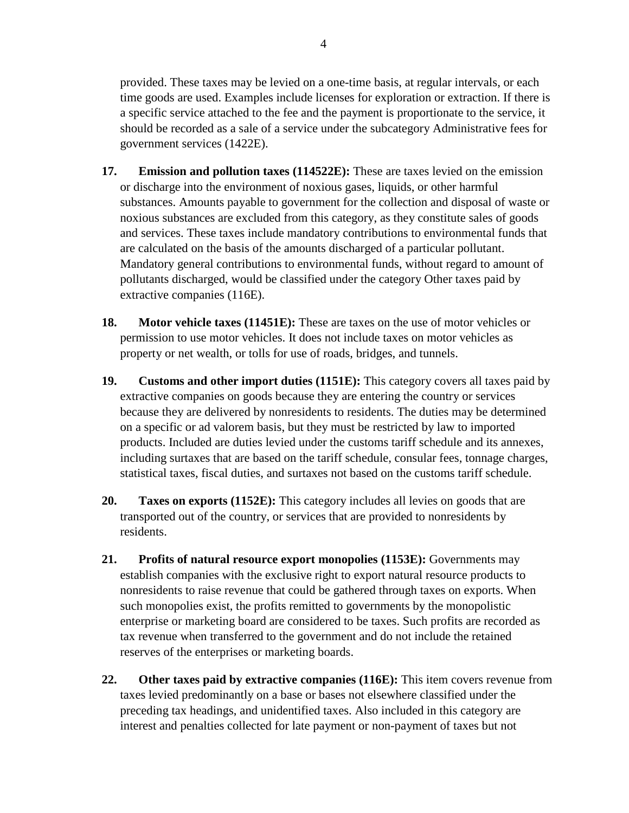provided. These taxes may be levied on a one-time basis, at regular intervals, or each time goods are used. Examples include licenses for exploration or extraction. If there is a specific service attached to the fee and the payment is proportionate to the service, it should be recorded as a sale of a service under the subcategory Administrative fees for government services (1422E).

- **17. Emission and pollution taxes (114522E):** These are taxes levied on the emission or discharge into the environment of noxious gases, liquids, or other harmful substances. Amounts payable to government for the collection and disposal of waste or noxious substances are excluded from this category, as they constitute sales of goods and services. These taxes include mandatory contributions to environmental funds that are calculated on the basis of the amounts discharged of a particular pollutant. Mandatory general contributions to environmental funds, without regard to amount of pollutants discharged, would be classified under the category Other taxes paid by extractive companies (116E).
- **18. Motor vehicle taxes (11451E):** These are taxes on the use of motor vehicles or permission to use motor vehicles. It does not include taxes on motor vehicles as property or net wealth, or tolls for use of roads, bridges, and tunnels.
- **19. Customs and other import duties (1151E):** This category covers all taxes paid by extractive companies on goods because they are entering the country or services because they are delivered by nonresidents to residents. The duties may be determined on a specific or ad valorem basis, but they must be restricted by law to imported products. Included are duties levied under the customs tariff schedule and its annexes, including surtaxes that are based on the tariff schedule, consular fees, tonnage charges, statistical taxes, fiscal duties, and surtaxes not based on the customs tariff schedule.
- **20. Taxes on exports (1152E):** This category includes all levies on goods that are transported out of the country, or services that are provided to nonresidents by residents.
- **21. Profits of natural resource export monopolies (1153E):** Governments may establish companies with the exclusive right to export natural resource products to nonresidents to raise revenue that could be gathered through taxes on exports. When such monopolies exist, the profits remitted to governments by the monopolistic enterprise or marketing board are considered to be taxes. Such profits are recorded as tax revenue when transferred to the government and do not include the retained reserves of the enterprises or marketing boards.
- **22. Other taxes paid by extractive companies (116E):** This item covers revenue from taxes levied predominantly on a base or bases not elsewhere classified under the preceding tax headings, and unidentified taxes. Also included in this category are interest and penalties collected for late payment or non-payment of taxes but not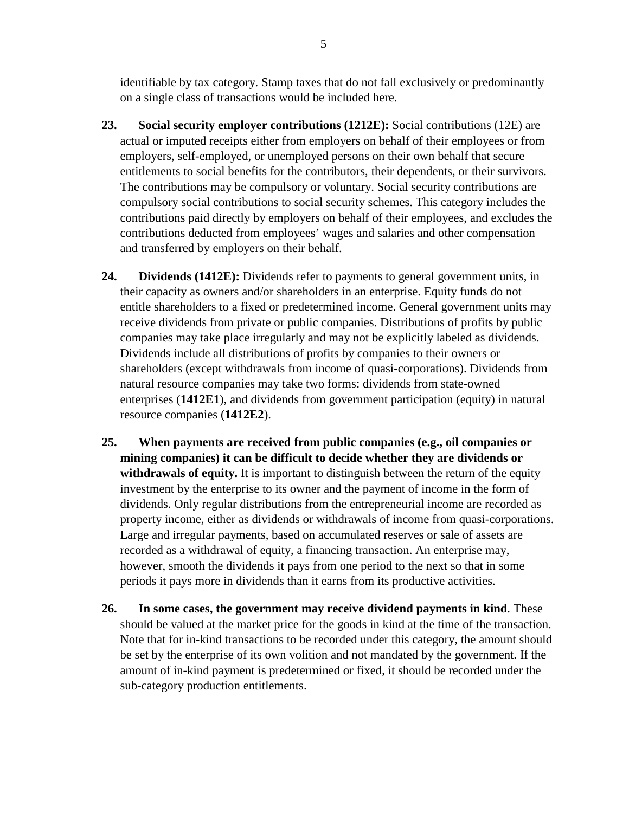identifiable by tax category. Stamp taxes that do not fall exclusively or predominantly on a single class of transactions would be included here.

- **23. Social security employer contributions (1212E):** Social contributions (12E) are actual or imputed receipts either from employers on behalf of their employees or from employers, self-employed, or unemployed persons on their own behalf that secure entitlements to social benefits for the contributors, their dependents, or their survivors. The contributions may be compulsory or voluntary. Social security contributions are compulsory social contributions to social security schemes. This category includes the contributions paid directly by employers on behalf of their employees, and excludes the contributions deducted from employees' wages and salaries and other compensation and transferred by employers on their behalf.
- **24. Dividends (1412E):** Dividends refer to payments to general government units, in their capacity as owners and/or shareholders in an enterprise. Equity funds do not entitle shareholders to a fixed or predetermined income. General government units may receive dividends from private or public companies. Distributions of profits by public companies may take place irregularly and may not be explicitly labeled as dividends. Dividends include all distributions of profits by companies to their owners or shareholders (except withdrawals from income of quasi-corporations). Dividends from natural resource companies may take two forms: dividends from state-owned enterprises (**1412E1**), and dividends from government participation (equity) in natural resource companies (**1412E2**).
- **25. When payments are received from public companies (e.g., oil companies or mining companies) it can be difficult to decide whether they are dividends or**  withdrawals of equity. It is important to distinguish between the return of the equity investment by the enterprise to its owner and the payment of income in the form of dividends. Only regular distributions from the entrepreneurial income are recorded as property income, either as dividends or withdrawals of income from quasi-corporations. Large and irregular payments, based on accumulated reserves or sale of assets are recorded as a withdrawal of equity, a financing transaction. An enterprise may, however, smooth the dividends it pays from one period to the next so that in some periods it pays more in dividends than it earns from its productive activities.
- **26. In some cases, the government may receive dividend payments in kind**. These should be valued at the market price for the goods in kind at the time of the transaction. Note that for in-kind transactions to be recorded under this category, the amount should be set by the enterprise of its own volition and not mandated by the government. If the amount of in-kind payment is predetermined or fixed, it should be recorded under the sub-category production entitlements.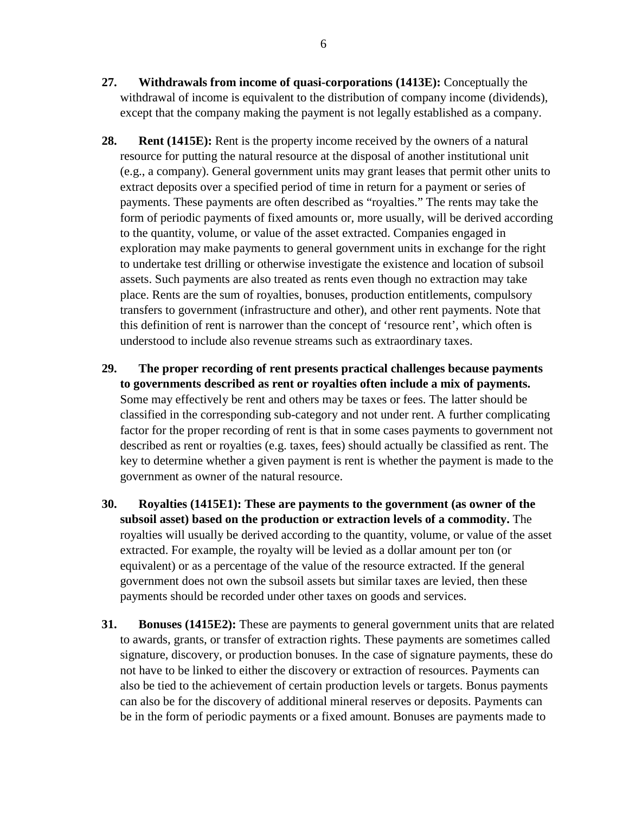- **27. Withdrawals from income of quasi-corporations (1413E):** Conceptually the withdrawal of income is equivalent to the distribution of company income (dividends), except that the company making the payment is not legally established as a company.
- **28. Rent (1415E):** Rent is the property income received by the owners of a natural resource for putting the natural resource at the disposal of another institutional unit (e.g., a company). General government units may grant leases that permit other units to extract deposits over a specified period of time in return for a payment or series of payments. These payments are often described as "royalties." The rents may take the form of periodic payments of fixed amounts or, more usually, will be derived according to the quantity, volume, or value of the asset extracted. Companies engaged in exploration may make payments to general government units in exchange for the right to undertake test drilling or otherwise investigate the existence and location of subsoil assets. Such payments are also treated as rents even though no extraction may take place. Rents are the sum of royalties, bonuses, production entitlements, compulsory transfers to government (infrastructure and other), and other rent payments. Note that this definition of rent is narrower than the concept of 'resource rent', which often is understood to include also revenue streams such as extraordinary taxes.
- **29. The proper recording of rent presents practical challenges because payments to governments described as rent or royalties often include a mix of payments.** Some may effectively be rent and others may be taxes or fees. The latter should be classified in the corresponding sub-category and not under rent. A further complicating factor for the proper recording of rent is that in some cases payments to government not described as rent or royalties (e.g. taxes, fees) should actually be classified as rent. The key to determine whether a given payment is rent is whether the payment is made to the government as owner of the natural resource.
- **30. Royalties (1415E1): These are payments to the government (as owner of the subsoil asset) based on the production or extraction levels of a commodity.** The royalties will usually be derived according to the quantity, volume, or value of the asset extracted. For example, the royalty will be levied as a dollar amount per ton (or equivalent) or as a percentage of the value of the resource extracted. If the general government does not own the subsoil assets but similar taxes are levied, then these payments should be recorded under other taxes on goods and services.
- **31. Bonuses (1415E2):** These are payments to general government units that are related to awards, grants, or transfer of extraction rights. These payments are sometimes called signature, discovery, or production bonuses. In the case of signature payments, these do not have to be linked to either the discovery or extraction of resources. Payments can also be tied to the achievement of certain production levels or targets. Bonus payments can also be for the discovery of additional mineral reserves or deposits. Payments can be in the form of periodic payments or a fixed amount. Bonuses are payments made to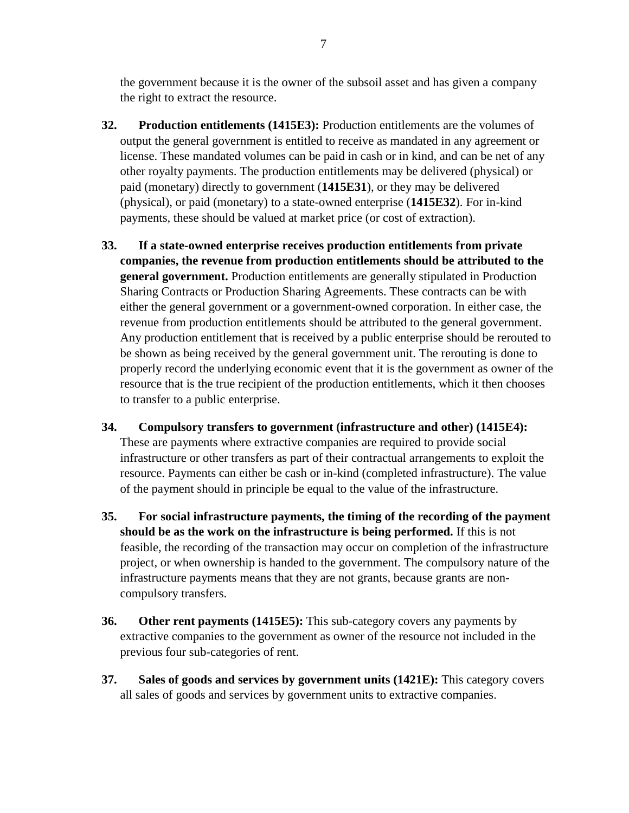the government because it is the owner of the subsoil asset and has given a company the right to extract the resource.

- **32. Production entitlements (1415E3):** Production entitlements are the volumes of output the general government is entitled to receive as mandated in any agreement or license. These mandated volumes can be paid in cash or in kind, and can be net of any other royalty payments. The production entitlements may be delivered (physical) or paid (monetary) directly to government (**1415E31**), or they may be delivered (physical), or paid (monetary) to a state-owned enterprise (**1415E32**). For in-kind payments, these should be valued at market price (or cost of extraction).
- **33. If a state-owned enterprise receives production entitlements from private companies, the revenue from production entitlements should be attributed to the general government.** Production entitlements are generally stipulated in Production Sharing Contracts or Production Sharing Agreements. These contracts can be with either the general government or a government-owned corporation. In either case, the revenue from production entitlements should be attributed to the general government. Any production entitlement that is received by a public enterprise should be rerouted to be shown as being received by the general government unit. The rerouting is done to properly record the underlying economic event that it is the government as owner of the resource that is the true recipient of the production entitlements, which it then chooses to transfer to a public enterprise.
- **34. Compulsory transfers to government (infrastructure and other) (1415E4):** These are payments where extractive companies are required to provide social infrastructure or other transfers as part of their contractual arrangements to exploit the resource. Payments can either be cash or in-kind (completed infrastructure). The value of the payment should in principle be equal to the value of the infrastructure.
- **35. For social infrastructure payments, the timing of the recording of the payment should be as the work on the infrastructure is being performed.** If this is not feasible, the recording of the transaction may occur on completion of the infrastructure project, or when ownership is handed to the government. The compulsory nature of the infrastructure payments means that they are not grants, because grants are noncompulsory transfers.
- **36. Other rent payments (1415E5):** This sub-category covers any payments by extractive companies to the government as owner of the resource not included in the previous four sub-categories of rent.
- **37. Sales of goods and services by government units (1421E):** This category covers all sales of goods and services by government units to extractive companies.